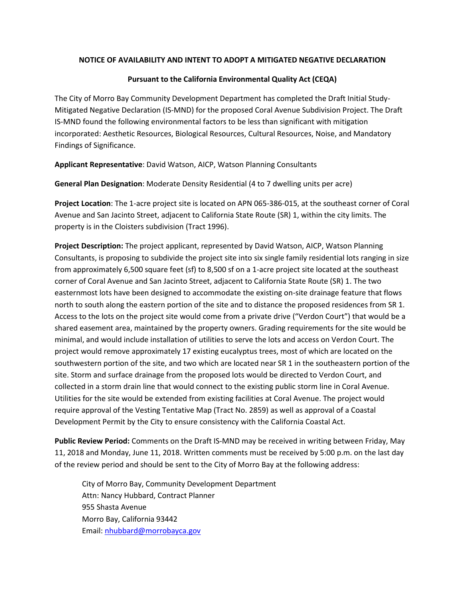## **NOTICE OF AVAILABILITY AND INTENT TO ADOPT A MITIGATED NEGATIVE DECLARATION**

## **Pursuant to the California Environmental Quality Act (CEQA)**

The City of Morro Bay Community Development Department has completed the Draft Initial Study-Mitigated Negative Declaration (IS-MND) for the proposed Coral Avenue Subdivision Project. The Draft IS-MND found the following environmental factors to be less than significant with mitigation incorporated: Aesthetic Resources, Biological Resources, Cultural Resources, Noise, and Mandatory Findings of Significance.

**Applicant Representative**: David Watson, AICP, Watson Planning Consultants

**General Plan Designation**: Moderate Density Residential (4 to 7 dwelling units per acre)

**Project Location**: The 1-acre project site is located on APN 065-386-015, at the southeast corner of Coral Avenue and San Jacinto Street, adjacent to California State Route (SR) 1, within the city limits. The property is in the Cloisters subdivision (Tract 1996).

**Project Description:** The project applicant, represented by David Watson, AICP, Watson Planning Consultants, is proposing to subdivide the project site into six single family residential lots ranging in size from approximately 6,500 square feet (sf) to 8,500 sf on a 1-acre project site located at the southeast corner of Coral Avenue and San Jacinto Street, adjacent to California State Route (SR) 1. The two easternmost lots have been designed to accommodate the existing on-site drainage feature that flows north to south along the eastern portion of the site and to distance the proposed residences from SR 1. Access to the lots on the project site would come from a private drive ("Verdon Court") that would be a shared easement area, maintained by the property owners. Grading requirements for the site would be minimal, and would include installation of utilities to serve the lots and access on Verdon Court. The project would remove approximately 17 existing eucalyptus trees, most of which are located on the southwestern portion of the site, and two which are located near SR 1 in the southeastern portion of the site. Storm and surface drainage from the proposed lots would be directed to Verdon Court, and collected in a storm drain line that would connect to the existing public storm line in Coral Avenue. Utilities for the site would be extended from existing facilities at Coral Avenue. The project would require approval of the Vesting Tentative Map (Tract No. 2859) as well as approval of a Coastal Development Permit by the City to ensure consistency with the California Coastal Act.

**Public Review Period:** Comments on the Draft IS-MND may be received in writing between Friday, May 11, 2018 and Monday, June 11, 2018. Written comments must be received by 5:00 p.m. on the last day of the review period and should be sent to the City of Morro Bay at the following address:

City of Morro Bay, Community Development Department Attn: Nancy Hubbard, Contract Planner 955 Shasta Avenue Morro Bay, California 93442 Email: [nhubbard@morrobayca.gov](mailto:nhubbard@morrobayca.gov)